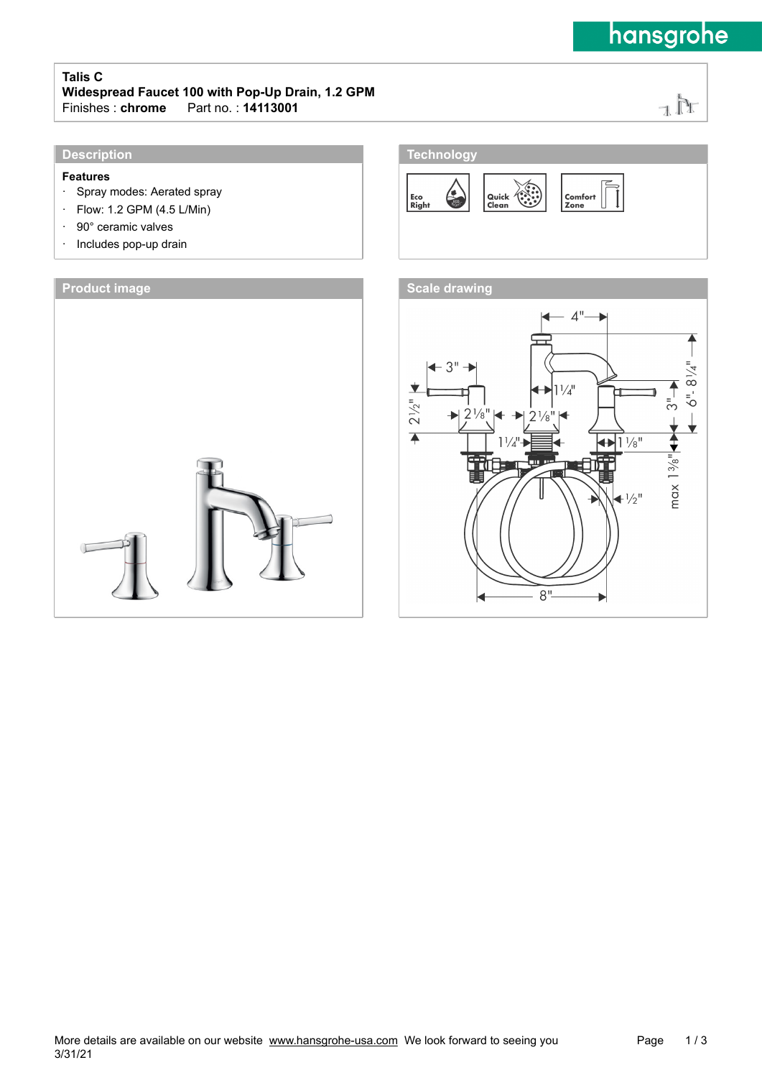# hansgrohe

### **Talis C Widespread Faucet 100 with Pop-Up Drain, 1.2 GPM** Fart no. : **14113001**

### **Description**

#### **Features**

- · Spray modes: Aerated spray
- · Flow: 1.2 GPM (4.5 L/Min)
- · 90° ceramic valves
- · Includes pop-up drain







 $\mathbb{R}^1$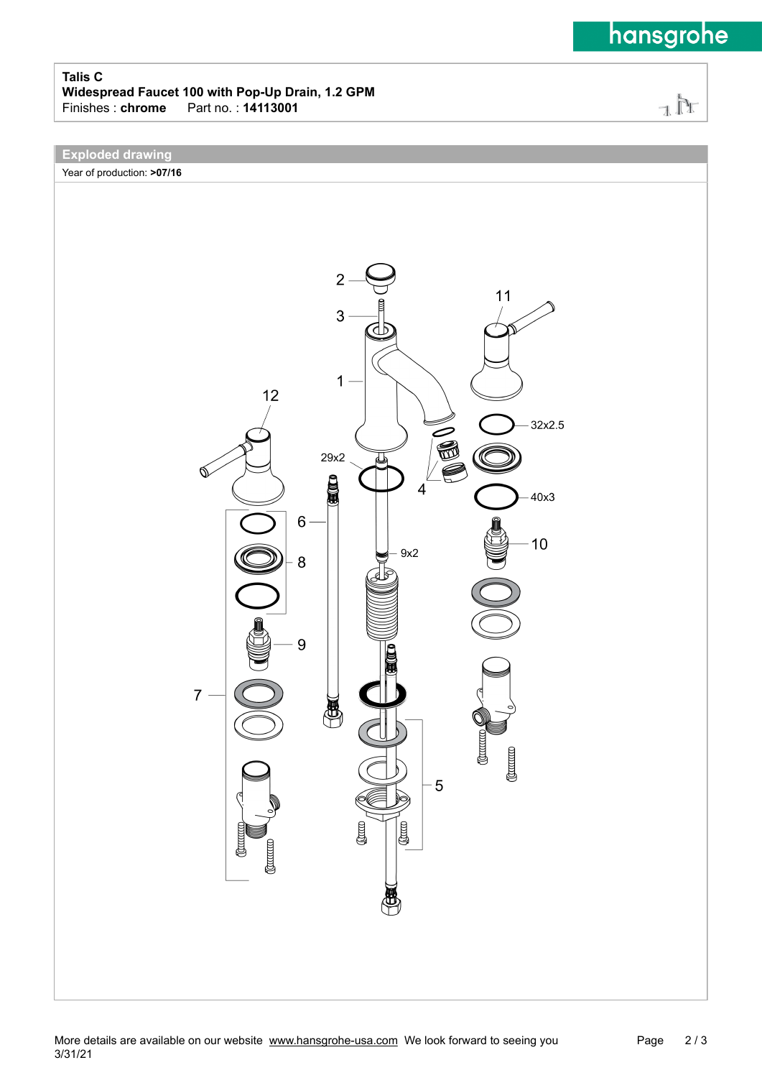## hansgrohe

 $\mathbb{I}$ 

### **Talis C Widespread Faucet 100 with Pop-Up Drain, 1.2 GPM** Finishes : **chrome**\_\_\_Part no. : **14113001**

### **Exploded drawing**